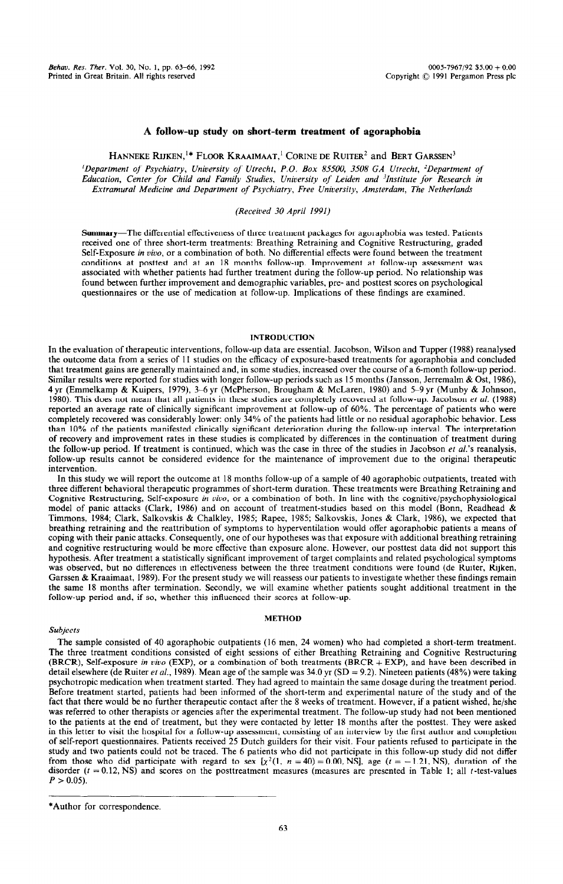## **A follow-up study on short-term treatment of agoraphobia**

HANNEKE RIJKEN,<sup>1\*</sup> FLOOR KRAAIMAAT,<sup>1</sup> CORINE DE RUITER<sup>2</sup> and BERT GARSSEN<sup>3</sup>

*'Department of Psychiatry, University of Utrecht, P.O. Box 85500, 3508 GA Vtrecht, 'Department of*  Education, Center for Child and Family Studies, University of Leiden and <sup>3</sup>Institute for Research in *Extramural Medicine and Department of Psychiatry, Free University, Amsterdam, The Netherlands* 

# *(Received 30 April 1991)*

Summary-The differential effectiveness of three treatment packages for agoraphobia was tested. Patients received one of three short-term treatments: Breathing Retraining and Cognitive Restructuring, graded Self-Exposure *in vivo,* or a combination of both. No differential effects were found between the treatment conditions at posttest and at an 18 months follow-up. Improvement at follow-up assessment was associated with whether patients had further treatment during the follow-up period. No relationship was found between further improvement and demographic variables, pre- and posttest scores on psychological questionnaires or the use of medication at follow-up. Implications of these findings are examined.

# INTRODUCTION

In the evaluation of therapeutic interventions, follow-up data are essential. Jacobson, Wilson and Tupper (1988) reanalysed the outcome data from a series of 11 studies on the efficacy of exposure-based treatments for agoraphobia and concluded that treatment gains are generally maintained and, in some studies, increased over the course of a 6-month follow-up period. Similar results were reported for studies with longer follow-up periods such as 15 months (Jansson, Jerremalm & Ost, 1986), 4 yr (Emmelkamp & Kuipers, 1979), 3-6 yr (McPherson, Brougham & McLaren, 1980) and 5-9 yr (Munby & Johnson, 1980). This does not mean that all patients in these studies are completely recovered at follow-up. Jacobson *et al.* (1988) reported an average rate of clinically significant improvement at follow-up of 60%. The percentage of patients who were completely recovered was considerably lower: only 34% of the patients had little or no residual agoraphobic behavior. Less than 10% of the patients manifested clinically significant deterioration during the follow-up interval. The interpretation of recovery and improvement rates in these studies is complicated by differences in the continuation of treatment during the follow-up period. If treatment is continued, which was the case in three of the studies in Jacobson *et a[.'s* reanalysis, follow-up results cannot be considered evidence for the maintenance of improvement due to the original therapeutic intervention.

In this study we will report the outcome at 18 months follow-up of a sample of 40 agoraphobic outpatients, treated with three different behavioral therapeutic programmes of short-term duration. These treatments were Breathing Retraining and Cognitive Restructuring, Self-exposure *in vivo,* or a combination of both. In line with the cognitive/psychophysiological model of panic attacks (Clark, 1986) and on account of treatment-studies based on this model (Bonn, Readhead & Timmons, 1984; Clark, Salkovskis & Chalkley, 1985; Rapee, 1985; Salkovskis, Jones & Clark, 1986), we expected that breathing retraining and the reattribution of symptoms to hyperventilation would offer agoraphobic patients a means of coping with their panic attacks. Consequently, one of our hypotheses was that exposure with additional breathing retraining and cognitive restructuring would be more effective than exposure alone. However, our posttest data did not support this hypothesis. After treatment a statistically significant improvement of target complaints and related psychological symptoms was observed, but no differences in effectiveness between the three treatment conditions were found (de Ruiter, Rijken, Garssen & Kraaimaat, 1989). For the present study we will reassess our patients to investigate whether these findings remain the same 18 months after termination. Secondly, we will examine whether patients sought additional treatment in the follow-up period and, if so, whether this influenced their scores at follow-up.

## **METHOD**

### *Subjects*

The sample consisted of 40 agoraphobic outpatients (16 men, 24 women) who had completed a short-term treatment. The three treatment conditions consisted of eight sessions of either Breathing Retraining and Cognitive Restructuring (BRCR), Self-exposure *in uivo* (EXP), or a combination of both treatments (BRCR + EXP), and have been described in detail elsewhere (de Ruiter *et al.*, 1989). Mean age of the sample was 34.0 yr (SD = 9.2). Nineteen patients (48%) were taking psychotropic medication when treatment started. They had agreed to maintain the same dosage during the treatment period. Before treatment started, patients had been informed of the short-term and experimental nature of the study and of the fact that there would be no further therapeutic contact after the 8 weeks of treatment. However, if a patient wished, he/she was referred to other therapists or agencies after the experimental treatment. The follow-up study had not been mentioned to the patients at the end of treatment, but they were contacted by letter 18 months after the posttest. They were asked in this letter to visit the hospital for a follow-up assessment, consisting of an interview by the first author and completion of self-report questionnaires. Patients received 25 Dutch guilders for their visit. Four patients refused to participate in the study and two patients could not be traced. The 6 patients who did not participate in this follow-up study did not differ from those who did participate with regard to sex  $[x^2(1, n = 40) = 0.00, N\hat{S}]$ , age  $(t = -1.21, \hat{N}S)$ , duration of the disorder  $(t = 0.12, NS)$  and scores on the posttreatment measures (measures are presented in Table 1; all t-test-values  $P > 0.05$ ).

<sup>\*</sup>Author for correspondence.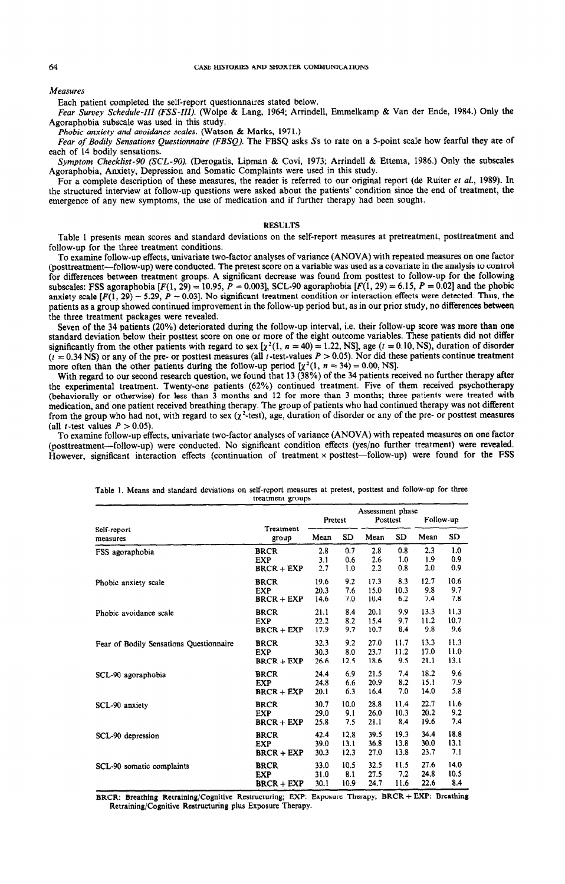#### Measures

Each patient completed the self-report questionnaires stated below.

Fear Survey Schedule-III (FSS-III). (Wolpe & Lang, 1964; Arrindell, Emmelkamp & Van der Ende, 1984.) Only the Agoraphobia subscale was used in this study.

*Phobic anxiety and avoidonce scales.* (Watson & Marks, 1971.)

*Fear of Bodily Sensations Questionnaire (FBSQ)*. The FBSQ asks Ss to rate on a 5-point scale how fearful they are of each of 14 bodily sensations.

*Symptom Checklist-90 (SCL-90).* (Derogatis, Lipman & Covi, 1973; Arrindell & Ettema, 1986.) Only the subscales Agoraphobia, Anxiety, Depression and Somatic Complaints were used in this study.

For a complete description of these measures, the reader is referred to our original report (de Ruiter et *al.,* 1989). In the structured interview at follow-up questions were asked about the patients' condition since the end of treatment, the emergence of any new symptoms, the use of medication and if further therapy had been sought.

### **RESULTS**

Table 1 presents mean scores and standard deviations on the self-report measures at pretreatment, posttreatment and follow-up for the three treatment conditions,

To examine follow-up effects, univariate two-factor analyses of variance (ANOVA) with repeated measures on one factor (posttreatment-follow-up) were conducted. The pretest score on a variable was used as a covariate in the analysis to control for differences between treatment groups. A significant decrease was found from posttest to follow-up for the following subscales: FSS agoraphobia  $[F(1, 29) = 10.95, \tilde{P} = 0.003]$ , SCL-90 agoraphobia  $[F(1, 29) = 6.15, P = 0.02]$  and the phobic anxiety scale  $[F(\bar{1}, 29) = 5.29, P = 0.03]$ . No significant treatment condition or interaction effects were detected. Thus, the patients as a group showed continued improvement in the follow-up period but, as in our prior study, no differences between the three treatment packages were revealed.

Seven of the 34 patients (20%) deteriorated during the follow-up interval, i.e. their follow-up score was more than one standard deviation below their posttest score on one or more of the eight outcome variables. These patients did not differ significantly from the other patients with regard to sex  $[\chi^2(1, n = 40) = 1.22$ , NS], age (t = 0.10, NS), duration of disorder  $(t = 0.34$  NS) or any of the pre- or posttest measures (all t-test-values  $P > 0.05$ ). Nor did these patients continue treatment more often than the other patients during the follow-up period  $\chi^2(1, n = 34) = 0.00$ , NSJ.

With regard to our second research question, we found that 13 (38%) of the 34 patients received no further therapy after the experimental treatment. Twenty-one patients (62%) continued treatment. Five of them received psychotherapy (behaviorally or otherwise) for less than 3 months and 12 for more than 3 months; three patients were treated with medication, and one patient received breathing therapy. The group of patients who had continued therapy was not different from the group who had not, with regard to sex  $(\chi^2$ -test), age, duration of disorder or any of the pre- or posttest measures (all *t*-test values  $P > 0.05$ ).

To examine follow-up effects, univariate two-factor analyses of variance (ANOVA) with repeated measures on one factor (posttreatment-follow-up) were conducted. No significant condition effects (yes/no further treatment) were revealed. However, significant interaction effects (continuation of treatment x posttest-follow-up) were found for the FSS

|                                         |                    | Pretest |      | Assessment phase<br>Posttest |      | Follow-up |      |
|-----------------------------------------|--------------------|---------|------|------------------------------|------|-----------|------|
| Self-report<br>measures                 | Treatment<br>group | Mean    | SD.  | Mean                         | SD   | Mean      | SD   |
| FSS agoraphobia                         | <b>BRCR</b>        | 2.8     | 0,7  | 2.8                          | 0.8  | 2.3       | 1.0  |
|                                         | <b>EXP</b>         | 3.1     | 0.6  | 2.6                          | 1.0  | 1.9       | 0.9  |
|                                         | $BRCR + EXP$       | 2.7     | 1.0  | 2.2                          | 0.8  | 2.0       | 0.9  |
| Phobic anxiety scale                    | <b>BRCR</b>        | 19.6    | 9.2  | 17.3                         | 8.3  | 12.7      | 10.6 |
|                                         | <b>EXP</b>         | 20.3    | 7,6  | 15.0                         | 10.3 | 9.8       | 9.7  |
|                                         | $BRCR + EXP$       | 14.6    | 7.0  | 10.4                         | 6.2  | 7.4       | 7.8  |
| Phobic avoidance scale                  | <b>BRCR</b>        | 21.1    | 8.4  | 20.1                         | 9.9  | 13.3      | 11.3 |
|                                         | <b>EXP</b>         | 22.2    | 8.2  | 15.4                         | 9.7  | 11.2      | 10.7 |
|                                         | $BRCR + EXP$       | 17.9    | 9.7  | 10.7                         | 8.4  | 9.8       | 9.6  |
| Fear of Bodily Sensations Questionnaire | <b>BRCR</b>        | 32.3    | 9.2  | 27.0                         | 11.7 | 13.3      | 11.3 |
|                                         | <b>EXP</b>         | 30.3    | 8.0  | 23.7                         | 11.2 | 17.0      | 11.0 |
|                                         | $BRCR + EXP$       | 26.6    | 12.5 | 18.6                         | 9.5  | 21.1      | 13.1 |
| SCL-90 agoraphobia                      | <b>BRCR</b>        | 24.4    | 6.9  | 21.5                         | 7.4  | 18.2      | 9.6  |
|                                         | <b>EXP</b>         | 24.8    | 6.6  | 20.9                         | 8.2  | 15.1      | 7.9  |
|                                         | $BRCR + EXP$       | 20.1    | 6.3  | 16.4                         | 7.0  | 14.0      | 5.8  |
| SCL-90 anxiety                          | <b>BRCR</b>        | 30.7    | 10.0 | 28.8                         | 11.4 | 22.7      | 11.6 |
|                                         | <b>EXP</b>         | 29.0    | 9.1  | 26.0                         | 10.3 | 20.2      | 9.2  |
|                                         | $BRCR + EXP$       | 25.8    | 7.5  | 21.1                         | 8,4  | 19.6      | 7.4  |
| SCL-90 depression                       | <b>BRCR</b>        | 42.4    | 12.8 | 39.5                         | 19.3 | 34.4      | 18.8 |
|                                         | <b>EXP</b>         | 39.0    | 13.1 | 36.8                         | 13.8 | 30.0      | 13.1 |
|                                         | $BRCR + EXP$       | 30.3    | 12.3 | 27.0                         | 13.8 | 23.7      | 7.1  |
| SCL-90 somatic complaints               | <b>BRCR</b>        | 33.0    | 10.5 | 32.5                         | 11.5 | 27.6      | 14.0 |
|                                         | <b>EXP</b>         | 31.0    | 8.1  | 27.5                         | 7.2  | 24.8      | 10.5 |
|                                         | $BRCR + EXP$       | 30.1    | 10.9 | 24.7                         | 11.6 | 22.6      | 8.4  |

Table 1. Means and standard deviations on self-report measures at pretest, posttest and follow-up for three treatment groups

BRCR: Breathing Retraining/Cognitive Restructuring; EXP: Exposure Therapy; BRCR + EXP: Breathing Retraining/Cognitive Restructuring plus Exposure Therapy.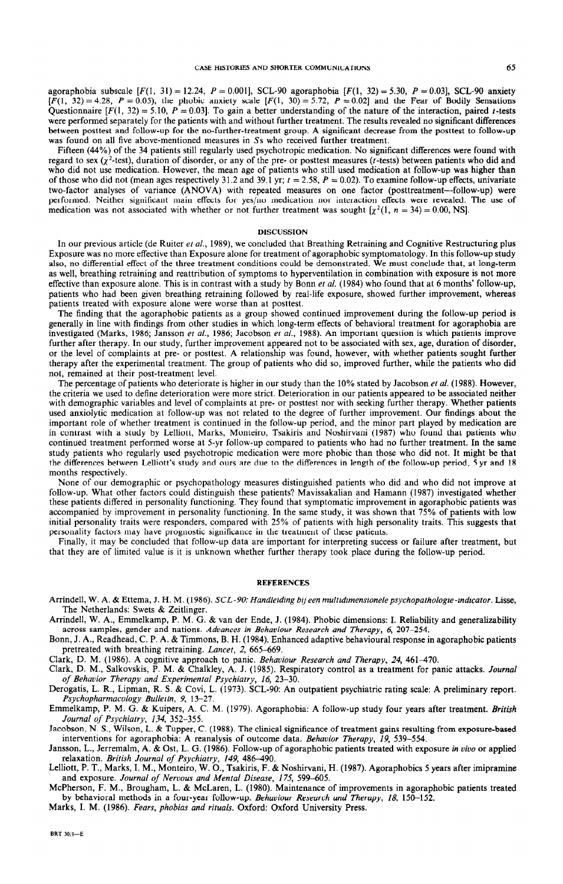agoraphobia subscale [F(l, 31) = 12.24, P = O.OOl], SCL-90 agoraphobia [F(l, 32) = 5.30, *P =* 0.031, SCL-90 anxiety  $[F(1, 32) = 4.28, P = 0.05)$ , the phobic anxiety scale  $[F(1, 30) = 5.72, P = 0.02]$  and the Fear of Bodily Sensation Questionnaire  $[F(1, 32) = 5.10, P = 0.03]$ . To gain a better understanding of the nature of the interaction, paired t-tests were performed separately for the patients with and without further treatment. The results revealed no significant differences between posttest and follow-up for the no-further-treatment group. A significant decrease from the posttest to follow-up was found on all five above-mentioned measures in 5s who received further treatment.

Fifteen (44%) of the 34 patients still regularly used psychotropic medication. No significant differences were found with regard to sex  $(\chi^2$ -test), duration of disorder, or any of the pre- or posttest measures ( $t$ -tests) between patients who did and who did not use medication. However, the mean age of patients who still used medication at follow-up was higher than of those who did not (mean ages respectively 31.2 and 39.1 yr;  $t = 2.58$ ,  $P = 0.02$ ). To examine follow-up effects, univariate two-factor analyses of variance (ANOVA) with repeated measures on one factor (posttreatment-follow-up) were performed. Neither significant main effects for yes/no medication nor interaction effects were revealed. The use of medication was not associated with whether or not further treatment was sought  $\left[\chi^2(1, n = 34) = 0.00, \text{NS}\right]$ .

#### **DISCUSSION**

In our previous article (de Ruiter et al., 1989), we concluded that Breathing Retraining and Cognitive Restructuring plus Exposure was no more effective than Exposure alone for treatment of agoraphobic symptomatology. In this follow-up study also, no differential effect of the three treatment conditions could be demonstrated. We must conclude that, at long-term as well, breathing retraining and reattribution of symptoms to hyperventilation in combination with exposure is not more effective than exposure alone. This is in contrast with a study by Bonn et *al.* (1984) who found that at 6 months' follow-up, patients who had been given breathing retraining followed by real-life exposure, showed further improvement, whereas patients treated with exposure alone were worse than at posttest.

The finding that the agoraphobic patients as a group showed continued improvement during the follow-up period is generally in line with findings from other studies in which long-term effects of behavioral treatment for agoraphobia are investigated (Marks, 1986; Jansson et *al.,* 1986; Jacobson et *al.,* 1988). An important question is which patients improve further after therapy. In our study, further improvement appeared not to be associated with sex, age, duration of disorder, or the level of complaints at pre- or posttest. A relationship was found, however, with whether patients sought further therapy after the experimental treatment. The group of patients who did so, improved further, while the patients who did not, remained at their post-treatment level.

The percentage of patients who deteriorate is higher in our study than the 10% stated by Jacobson et *al.* (1988). However, the criteria we used to define deterioration were more strict. Deterioration in our patients appeared to be associated neither with demographic variables and level of complaints at pre- or posttest nor with seeking further therapy. Whether patients used anxiolytic medication at follow-up was not related to the degree of further improvement. Our findings about the important role of whether treatment is continued in the follow-up period, and the minor part played by medication are in contrast with a study by Lelliott, Marks, Monteiro, Tsakiris and Noshirvani (1987) who found that patients who continued treatment performed worse at 5-yr follow-up compared to patients who had no further treatment. In the same study patients who regularly used psychotropic medication were more phobic than those who did not. It might be that the differences between Lelliott's study and ours are due to the differences in length of the follow-up period, 5 yr and 18 months respectively.

None of our demographic or psychopathology measures distinguished patients who did and who did not improve at follow-up. What other factors could distinguish these patients? Mavissakalian and Hamann (1987) investigated whether these patients differed in personality functioning. They found that symptomatic improvement in agoraphobic patients was accompanied by improvement in personality functioning. In the same study, it was shown that 75% of patients with low initial personality traits were responders, compared with 25% of patients with high personality traits. This suggests that personality factors may have prognostic significance in the treatment of these patients,

Finally, it may be concluded that follow-up data are important for interpreting success or failure after treatment, but that they are of limited value is it is unknown whether further therapy took place during the follow-up period.

#### **REFERENCES**

- Arrindell, W. A. & Ettema, J. H. M. (1986). SCL-90: *Handleiding bijeen multidimensionelepsychopathologie-indicator.* Lisse, The Netherlands: Swets & Zeitlinger.
- Arrindell, W. A., Emmelkamp, P. M. G. & van der Ende, J. (1984). Phobic dimensions: I. Reliability and generalizability across samples, gender and nations. *Advances in Behaviour Research and Therapy, 6, 207-254.* \_ -
- Bonn, J. A., Readhead, C. P. A. & Timmons, B. H. (1984). Enhanced adaptive behavioural response in agoraphobic patient pretreated with breathing retraining. *Lancet*, 2, 665-669.

Clark, D. M. (1986). A cognitive approach to panic. *Behaviour Research and Therapy*, 24, 461–470.

Clark, D. M., Salkovskis, P. M. & Chalkley, A. J. (1985). Respiratory control as a treatment for panic attacks. *Journal of Behavior Therapy and Experimenial Psychiatry, 16, 23-30.* 

Derogatis, L. R., Lipman, R. S. & Covi, L. (1973). SCL-90: An outpatient psychiatric rating scale: A preliminary report. *Psychopharmacology Bulletin, 9, 13-27.* 

Emmelkamp, P. M. G. & Kuipers, A. C. M. (1979). Agoraphobia: A follow-up study four years after treatment. *British Journal of Psychiatry, 134, 352-355.* 

Jacobson, N. S., Wilson, L. & Tupper, C. (1988). The clinical significance of treatment gains resulting from exposure-based interventions for agoraphobia: A reanalysis of outcome data. *Behavior Therapy, 19, 539-554.* 

Jansson, L., Jerremalm, A. & Ost, L. G. (1986). Follow-up of agoraphobic patients treated with exposure *in vivo or* applied relaxation. *British Journal of Psychiatry, 149, 486-490.* 

Lelliott, P. T., Marks, I. M., Monteiro, W. O., Tsakiris, F. & Noshirvani, H. (1987). Agoraphobics 5 years after imipramine and exposure. *Journal of Nervous and Mental Disease*, 175, 599-605.

McPherson, F. M., Brougham, L. & McLaren, L. (1980). Maintenance of improvements in agoraphobic patients treated by behavioral methods in a four-year follow-up. *Behaviour Research and Therapy, 18, 150-152.* 

Marks, I. M. (1986). Fears, *phobias and rituals.* Oxford: Oxford University Press.